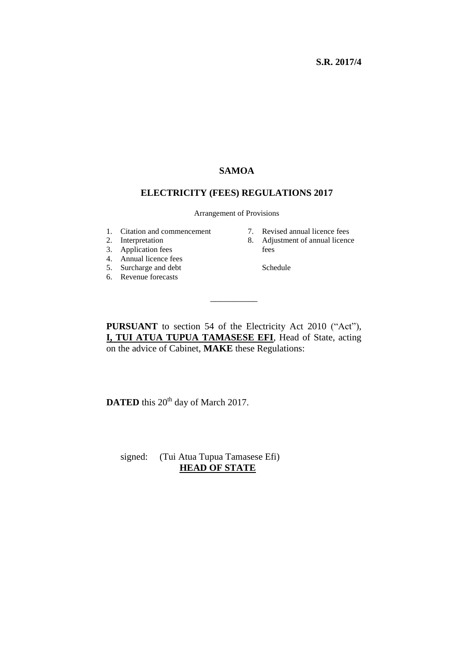#### **S.R. 2017/4**

## **SAMOA**

#### **ELECTRICITY (FEES) REGULATIONS 2017**

Arrangement of Provisions

- 1. Citation and commencement
- 2. Interpretation
- 3. Application fees
- 4. Annual licence fees
- 5. Surcharge and debt
- 6. Revenue forecasts
- 7. Revised annual licence fees
- 8. Adjustment of annual licence fees

Schedule

**PURSUANT** to section 54 of the Electricity Act 2010 ("Act"), **I, TUI ATUA TUPUA TAMASESE EFI**, Head of State, acting on the advice of Cabinet, **MAKE** these Regulations:

\_\_\_\_\_\_\_\_\_\_

**DATED** this 20<sup>th</sup> day of March 2017.

 signed: (Tui Atua Tupua Tamasese Efi) **HEAD OF STATE**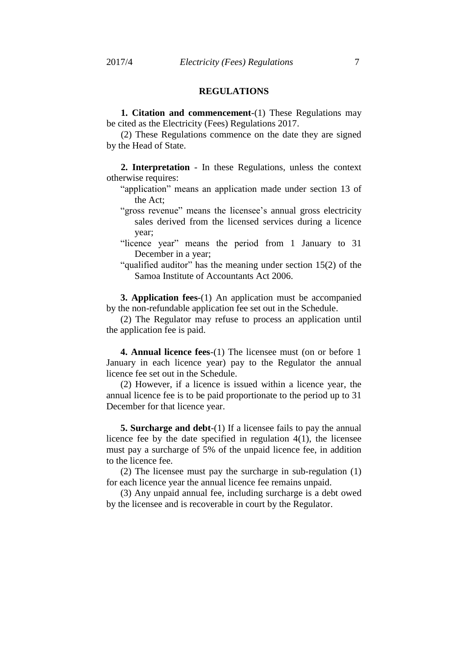### **REGULATIONS**

**1. Citation and commencement**-(1) These Regulations may be cited as the Electricity (Fees) Regulations 2017.

(2) These Regulations commence on the date they are signed by the Head of State.

**2. Interpretation** - In these Regulations, unless the context otherwise requires:

- "application" means an application made under section 13 of the Act;
- "gross revenue" means the licensee's annual gross electricity sales derived from the licensed services during a licence year;
- "licence year" means the period from 1 January to 31 December in a year;
- "qualified auditor" has the meaning under section 15(2) of the Samoa Institute of Accountants Act 2006.

**3. Application fees**-(1) An application must be accompanied by the non-refundable application fee set out in the Schedule.

(2) The Regulator may refuse to process an application until the application fee is paid.

**4. Annual licence fees**-(1) The licensee must (on or before 1 January in each licence year) pay to the Regulator the annual licence fee set out in the Schedule.

(2) However, if a licence is issued within a licence year, the annual licence fee is to be paid proportionate to the period up to 31 December for that licence year.

**5. Surcharge and debt**-(1) If a licensee fails to pay the annual licence fee by the date specified in regulation 4(1), the licensee must pay a surcharge of 5% of the unpaid licence fee, in addition to the licence fee.

(2) The licensee must pay the surcharge in sub-regulation (1) for each licence year the annual licence fee remains unpaid.

(3) Any unpaid annual fee, including surcharge is a debt owed by the licensee and is recoverable in court by the Regulator.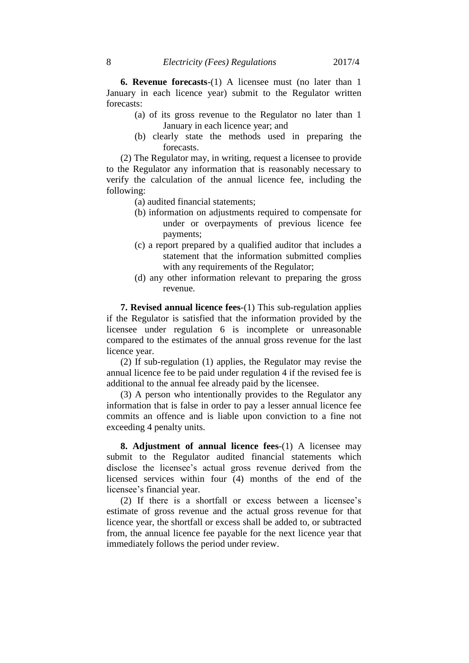**6. Revenue forecasts**-(1) A licensee must (no later than 1 January in each licence year) submit to the Regulator written forecasts:

- (a) of its gross revenue to the Regulator no later than 1 January in each licence year; and
- (b) clearly state the methods used in preparing the forecasts.

(2) The Regulator may, in writing, request a licensee to provide to the Regulator any information that is reasonably necessary to verify the calculation of the annual licence fee, including the following:

- (a) audited financial statements;
- (b) information on adjustments required to compensate for under or overpayments of previous licence fee payments;
- (c) a report prepared by a qualified auditor that includes a statement that the information submitted complies with any requirements of the Regulator;
- (d) any other information relevant to preparing the gross revenue.

**7. Revised annual licence fees**-(1) This sub-regulation applies if the Regulator is satisfied that the information provided by the licensee under regulation 6 is incomplete or unreasonable compared to the estimates of the annual gross revenue for the last licence year.

(2) If sub-regulation (1) applies, the Regulator may revise the annual licence fee to be paid under regulation 4 if the revised fee is additional to the annual fee already paid by the licensee.

(3) A person who intentionally provides to the Regulator any information that is false in order to pay a lesser annual licence fee commits an offence and is liable upon conviction to a fine not exceeding 4 penalty units.

**8. Adjustment of annual licence fees**-(1) A licensee may submit to the Regulator audited financial statements which disclose the licensee's actual gross revenue derived from the licensed services within four (4) months of the end of the licensee's financial year.

(2) If there is a shortfall or excess between a licensee's estimate of gross revenue and the actual gross revenue for that licence year, the shortfall or excess shall be added to, or subtracted from, the annual licence fee payable for the next licence year that immediately follows the period under review.